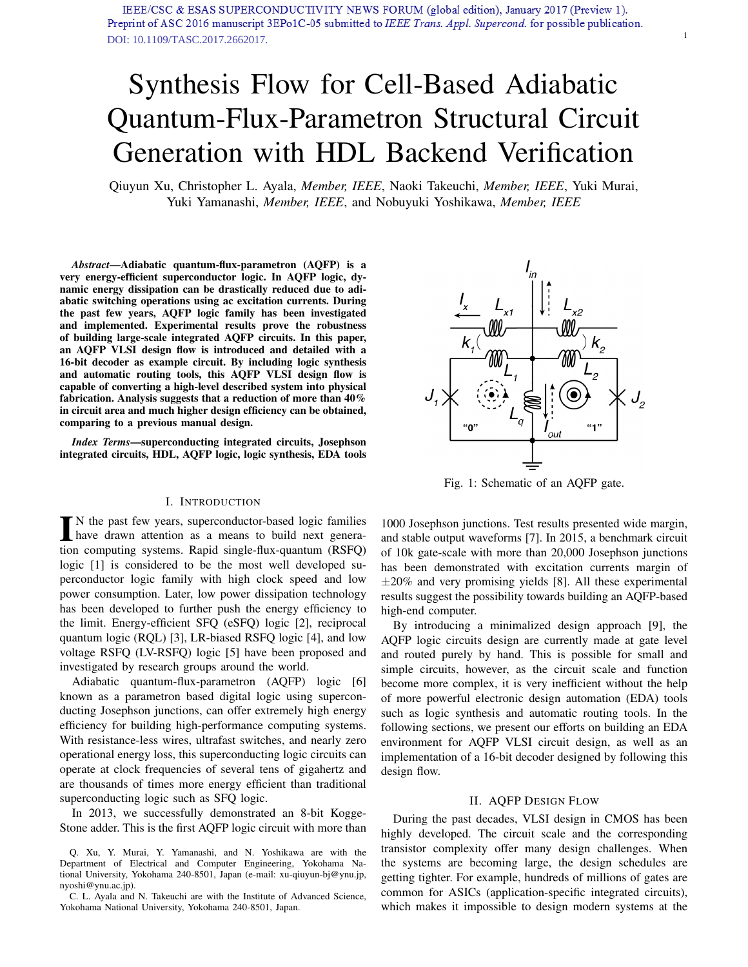# Synthesis Flow for Cell-Based Adiabatic Quantum-Flux-Parametron Structural Circuit Generation with HDL Backend Verification

Qiuyun Xu, Christopher L. Ayala, *Member, IEEE*, Naoki Takeuchi, *Member, IEEE*, Yuki Murai, Yuki Yamanashi, *Member, IEEE*, and Nobuyuki Yoshikawa, *Member, IEEE*

*Abstract*—Adiabatic quantum-flux-parametron (AQFP) is a very energy-efficient superconductor logic. In AQFP logic, dynamic energy dissipation can be drastically reduced due to adiabatic switching operations using ac excitation currents. During the past few years, AQFP logic family has been investigated and implemented. Experimental results prove the robustness of building large-scale integrated AQFP circuits. In this paper, an AQFP VLSI design flow is introduced and detailed with a 16-bit decoder as example circuit. By including logic synthesis and automatic routing tools, this AQFP VLSI design flow is capable of converting a high-level described system into physical fabrication. Analysis suggests that a reduction of more than 40% in circuit area and much higher design efficiency can be obtained, comparing to a previous manual design.

*Index Terms*—superconducting integrated circuits, Josephson integrated circuits, HDL, AQFP logic, logic synthesis, EDA tools

#### I. INTRODUCTION

 $\blacksquare$  N the past few years, superconductor-based logic families<br>have drawn attention as a means to build next genera-<br>tion commuting supporting David single flux supporting (DSEO) N the past few years, superconductor-based logic families tion computing systems. Rapid single-flux-quantum (RSFQ) logic [1] is considered to be the most well developed superconductor logic family with high clock speed and low power consumption. Later, low power dissipation technology has been developed to further push the energy efficiency to the limit. Energy-efficient SFQ (eSFQ) logic [2], reciprocal quantum logic (RQL) [3], LR-biased RSFQ logic [4], and low voltage RSFQ (LV-RSFQ) logic [5] have been proposed and investigated by research groups around the world.

Adiabatic quantum-flux-parametron (AQFP) logic [6] known as a parametron based digital logic using superconducting Josephson junctions, can offer extremely high energy efficiency for building high-performance computing systems. With resistance-less wires, ultrafast switches, and nearly zero operational energy loss, this superconducting logic circuits can operate at clock frequencies of several tens of gigahertz and are thousands of times more energy efficient than traditional superconducting logic such as SFQ logic.

In 2013, we successfully demonstrated an 8-bit Kogge-Stone adder. This is the first AQFP logic circuit with more than

Q. Xu, Y. Murai, Y. Yamanashi, and N. Yoshikawa are with the Department of Electrical and Computer Engineering, Yokohama National University, Yokohama 240-8501, Japan (e-mail: xu-qiuyun-bj@ynu.jp, nyoshi@ynu.ac.jp).

C. L. Ayala and N. Takeuchi are with the Institute of Advanced Science, Yokohama National University, Yokohama 240-8501, Japan.



1

Fig. 1: Schematic of an AQFP gate.

1000 Josephson junctions. Test results presented wide margin, and stable output waveforms [7]. In 2015, a benchmark circuit of 10k gate-scale with more than 20,000 Josephson junctions has been demonstrated with excitation currents margin of  $\pm 20\%$  and very promising yields [8]. All these experimental results suggest the possibility towards building an AQFP-based high-end computer.

By introducing a minimalized design approach [9], the AQFP logic circuits design are currently made at gate level and routed purely by hand. This is possible for small and simple circuits, however, as the circuit scale and function become more complex, it is very inefficient without the help of more powerful electronic design automation (EDA) tools such as logic synthesis and automatic routing tools. In the following sections, we present our efforts on building an EDA environment for AQFP VLSI circuit design, as well as an implementation of a 16-bit decoder designed by following this design flow.

### II. AQFP DESIGN FLOW

During the past decades, VLSI design in CMOS has been highly developed. The circuit scale and the corresponding transistor complexity offer many design challenges. When the systems are becoming large, the design schedules are getting tighter. For example, hundreds of millions of gates are common for ASICs (application-specific integrated circuits), which makes it impossible to design modern systems at the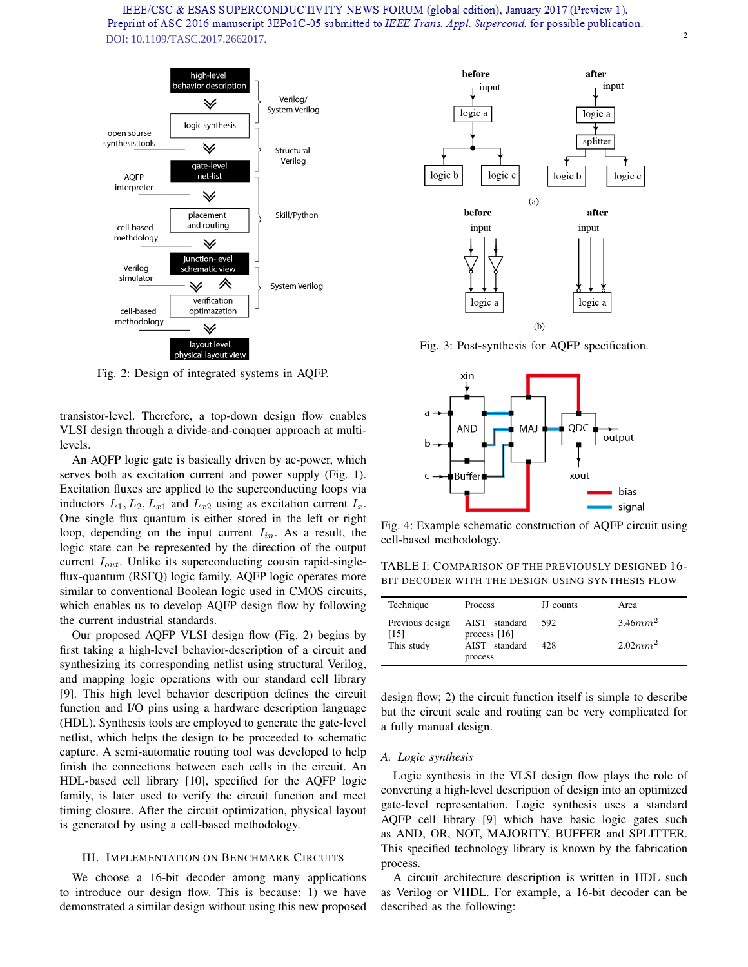

Fig. 2: Design of integrated systems in AQFP.

transistor-level. Therefore, a top-down design flow enables VLSI design through a divide-and-conquer approach at multilevels.

An AQFP logic gate is basically driven by ac-power, which serves both as excitation current and power supply (Fig. 1). Excitation fluxes are applied to the superconducting loops via inductors  $L_1, L_2, L_{x1}$  and  $L_{x2}$  using as excitation current  $I_x$ . One single flux quantum is either stored in the left or right loop, depending on the input current  $I_{in}$ . As a result, the logic state can be represented by the direction of the output current  $I_{out}$ . Unlike its superconducting cousin rapid-singleflux-quantum (RSFQ) logic family, AQFP logic operates more similar to conventional Boolean logic used in CMOS circuits, which enables us to develop AQFP design flow by following the current industrial standards.

Our proposed AQFP VLSI design flow (Fig. 2) begins by first taking a high-level behavior-description of a circuit and synthesizing its corresponding netlist using structural Verilog, and mapping logic operations with our standard cell library [9]. This high level behavior description defines the circuit function and I/O pins using a hardware description language (HDL). Synthesis tools are employed to generate the gate-level netlist, which helps the design to be proceeded to schematic capture. A semi-automatic routing tool was developed to help finish the connections between each cells in the circuit. An HDL-based cell library [10], specified for the AQFP logic family, is later used to verify the circuit function and meet timing closure. After the circuit optimization, physical layout is generated by using a cell-based methodology.

## III. IMPLEMENTATION ON BENCHMARK CIRCUITS

We choose a 16-bit decoder among many applications to introduce our design flow. This is because: 1) we have demonstrated a similar design without using this new proposed



Fig. 3: Post-synthesis for AQFP specification.



Fig. 4: Example schematic construction of AQFP circuit using cell-based methodology.

TABLE I: COMPARISON OF THE PREVIOUSLY DESIGNED 16- BIT DECODER WITH THE DESIGN USING SYNTHESIS FLOW

| Technique               | Process                         | JJ counts | Area                |
|-------------------------|---------------------------------|-----------|---------------------|
| Previous design<br>[15] | AIST standard<br>process $[16]$ | 592       | 3.46mm <sup>2</sup> |
| This study              | AIST standard<br>process        | 428       | $2.02mm^2$          |

design flow; 2) the circuit function itself is simple to describe but the circuit scale and routing can be very complicated for a fully manual design.

# *A. Logic synthesis*

Logic synthesis in the VLSI design flow plays the role of converting a high-level description of design into an optimized gate-level representation. Logic synthesis uses a standard AQFP cell library [9] which have basic logic gates such as AND, OR, NOT, MAJORITY, BUFFER and SPLITTER. This specified technology library is known by the fabrication process.

A circuit architecture description is written in HDL such as Verilog or VHDL. For example, a 16-bit decoder can be described as the following: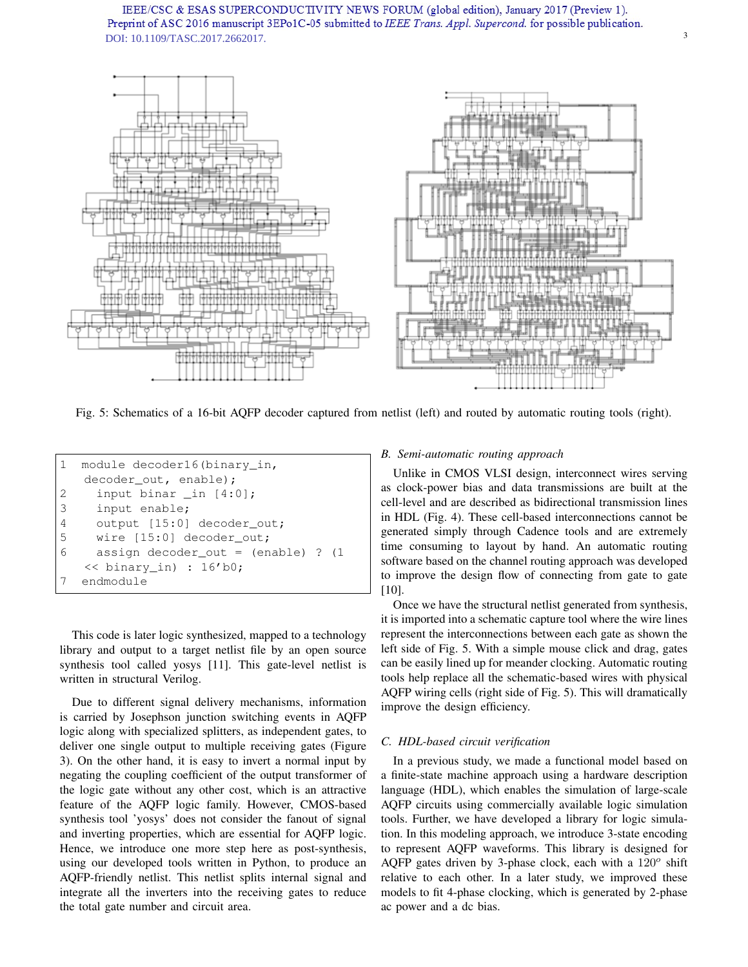

Fig. 5: Schematics of a 16-bit AQFP decoder captured from netlist (left) and routed by automatic routing tools (right).

| $1 -$ | module decoder16(binary in,          |
|-------|--------------------------------------|
|       | decoder out, enable);                |
| 2     | input binar in $[4:0]$ ;             |
| 3     | input enable;                        |
| 4     | output [15:0] decoder_out;           |
| -5    | wire [15:0] decoder out;             |
| 6     | assign decoder out = $(enable)$ ? (1 |
|       | $\ll$ binary in) : 16'b0;            |
|       | endmodule                            |

This code is later logic synthesized, mapped to a technology library and output to a target netlist file by an open source synthesis tool called yosys [11]. This gate-level netlist is written in structural Verilog.

Due to different signal delivery mechanisms, information is carried by Josephson junction switching events in AQFP logic along with specialized splitters, as independent gates, to deliver one single output to multiple receiving gates (Figure 3). On the other hand, it is easy to invert a normal input by negating the coupling coefficient of the output transformer of the logic gate without any other cost, which is an attractive feature of the AQFP logic family. However, CMOS-based synthesis tool 'yosys' does not consider the fanout of signal and inverting properties, which are essential for AQFP logic. Hence, we introduce one more step here as post-synthesis, using our developed tools written in Python, to produce an AQFP-friendly netlist. This netlist splits internal signal and integrate all the inverters into the receiving gates to reduce the total gate number and circuit area.

# *B. Semi-automatic routing approach*

Unlike in CMOS VLSI design, interconnect wires serving as clock-power bias and data transmissions are built at the cell-level and are described as bidirectional transmission lines in HDL (Fig. 4). These cell-based interconnections cannot be generated simply through Cadence tools and are extremely time consuming to layout by hand. An automatic routing software based on the channel routing approach was developed to improve the design flow of connecting from gate to gate [10].

Once we have the structural netlist generated from synthesis, it is imported into a schematic capture tool where the wire lines represent the interconnections between each gate as shown the left side of Fig. 5. With a simple mouse click and drag, gates can be easily lined up for meander clocking. Automatic routing tools help replace all the schematic-based wires with physical AQFP wiring cells (right side of Fig. 5). This will dramatically improve the design efficiency.

### *C. HDL-based circuit verification*

In a previous study, we made a functional model based on a finite-state machine approach using a hardware description language (HDL), which enables the simulation of large-scale AQFP circuits using commercially available logic simulation tools. Further, we have developed a library for logic simulation. In this modeling approach, we introduce 3-state encoding to represent AQFP waveforms. This library is designed for AQFP gates driven by 3-phase clock, each with a  $120^{\circ}$  shift relative to each other. In a later study, we improved these models to fit 4-phase clocking, which is generated by 2-phase ac power and a dc bias.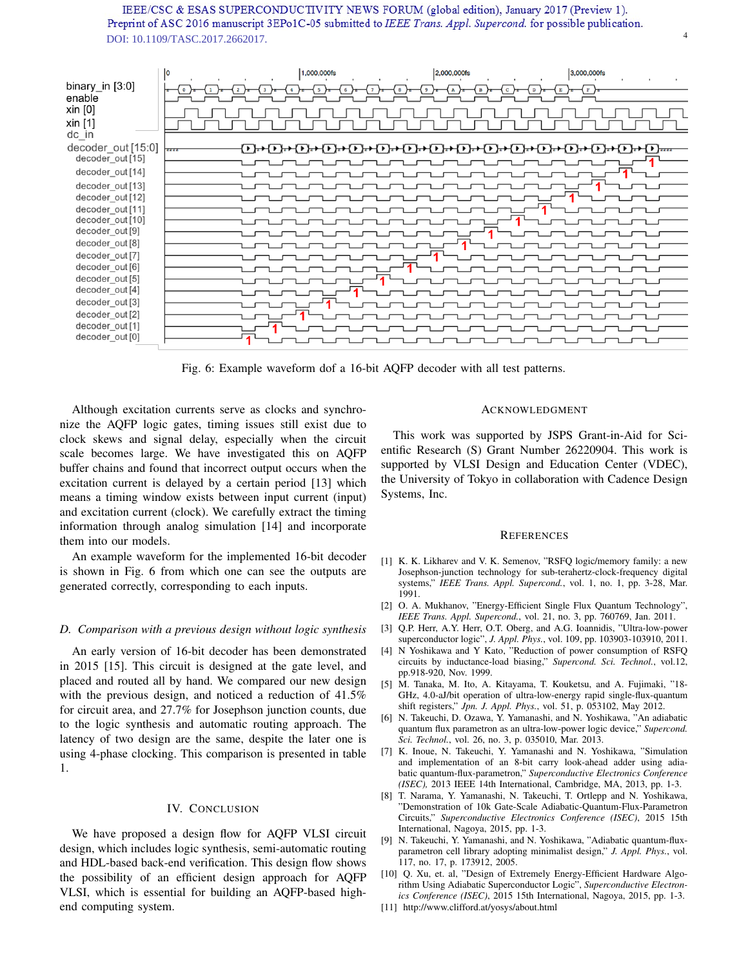

Fig. 6: Example waveform dof a 16-bit AQFP decoder with all test patterns.

Although excitation currents serve as clocks and synchronize the AQFP logic gates, timing issues still exist due to clock skews and signal delay, especially when the circuit scale becomes large. We have investigated this on AQFP buffer chains and found that incorrect output occurs when the excitation current is delayed by a certain period [13] which means a timing window exists between input current (input) and excitation current (clock). We carefully extract the timing information through analog simulation [14] and incorporate them into our models.

An example waveform for the implemented 16-bit decoder is shown in Fig. 6 from which one can see the outputs are generated correctly, corresponding to each inputs.

#### *D. Comparison with a previous design without logic synthesis*

An early version of 16-bit decoder has been demonstrated in 2015 [15]. This circuit is designed at the gate level, and placed and routed all by hand. We compared our new design with the previous design, and noticed a reduction of 41.5% for circuit area, and 27.7% for Josephson junction counts, due to the logic synthesis and automatic routing approach. The latency of two design are the same, despite the later one is using 4-phase clocking. This comparison is presented in table 1.

#### IV. CONCLUSION

We have proposed a design flow for AQFP VLSI circuit design, which includes logic synthesis, semi-automatic routing and HDL-based back-end verification. This design flow shows the possibility of an efficient design approach for AQFP VLSI, which is essential for building an AQFP-based highend computing system.

#### ACKNOWLEDGMENT

4

This work was supported by JSPS Grant-in-Aid for Scientific Research (S) Grant Number 26220904. This work is supported by VLSI Design and Education Center (VDEC), the University of Tokyo in collaboration with Cadence Design Systems, Inc.

#### **REFERENCES**

- [1] K. K. Likharev and V. K. Semenov, "RSFQ logic/memory family: a new Josephson-junction technology for sub-terahertz-clock-frequency digital systems," *IEEE Trans. Appl. Supercond.*, vol. 1, no. 1, pp. 3-28, Mar. 1991.
- [2] O. A. Mukhanov, "Energy-Efficient Single Flux Quantum Technology", *IEEE Trans. Appl. Supercond.*, vol. 21, no. 3, pp. 760769, Jan. 2011.
- [3] Q.P. Herr, A.Y. Herr, O.T. Oberg, and A.G. Ioannidis, "Ultra-low-power superconductor logic", *J. Appl. Phys.*, vol. 109, pp. 103903-103910, 2011.
- [4] N Yoshikawa and Y Kato, "Reduction of power consumption of RSFQ circuits by inductance-load biasing," *Supercond. Sci. Technol.*, vol.12, pp.918-920, Nov. 1999.
- [5] M. Tanaka, M. Ito, A. Kitayama, T. Kouketsu, and A. Fujimaki, "18- GHz, 4.0-aJ/bit operation of ultra-low-energy rapid single-flux-quantum shift registers," *Jpn. J. Appl. Phys.*, vol. 51, p. 053102, May 2012.
- [6] N. Takeuchi, D. Ozawa, Y. Yamanashi, and N. Yoshikawa, "An adiabatic quantum flux parametron as an ultra-low-power logic device," *Supercond. Sci. Technol.*, vol. 26, no. 3, p. 035010, Mar. 2013.
- [7] K. Inoue, N. Takeuchi, Y. Yamanashi and N. Yoshikawa, "Simulation and implementation of an 8-bit carry look-ahead adder using adiabatic quantum-flux-parametron," *Superconductive Electronics Conference (ISEC),* 2013 IEEE 14th International, Cambridge, MA, 2013, pp. 1-3.
- [8] T. Narama, Y. Yamanashi, N. Takeuchi, T. Ortlepp and N. Yoshikawa, "Demonstration of 10k Gate-Scale Adiabatic-Quantum-Flux-Parametron Circuits," *Superconductive Electronics Conference (ISEC)*, 2015 15th International, Nagoya, 2015, pp. 1-3.
- [9] N. Takeuchi, Y. Yamanashi, and N. Yoshikawa, "Adiabatic quantum-fluxparametron cell library adopting minimalist design," *J. Appl. Phys.*, vol. 117, no. 17, p. 173912, 2005.
- [10] Q. Xu, et. al, "Design of Extremely Energy-Efficient Hardware Algorithm Using Adiabatic Superconductor Logic", *Superconductive Electronics Conference (ISEC)*, 2015 15th International, Nagoya, 2015, pp. 1-3.
- [11] http://www.clifford.at/yosys/about.html